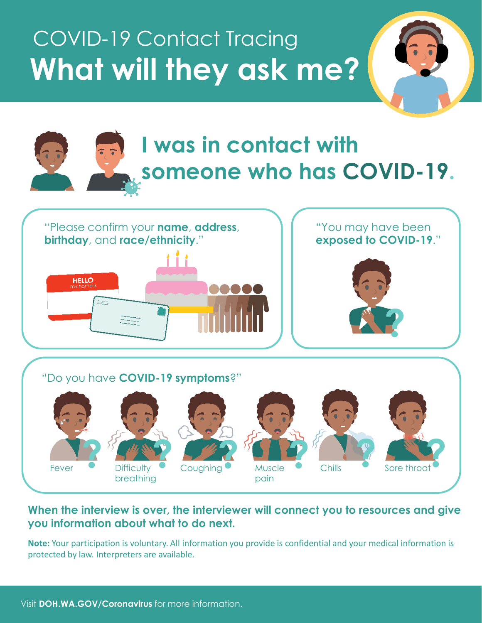# COVID-19 Contact Tracing **What will they ask me?**





### **When the interview is over, the interviewer will connect you to resources and give you information about what to do next.**

**Note:** Your participation is voluntary. All information you provide is confidential and your medical information is protected by law. Interpreters are available.